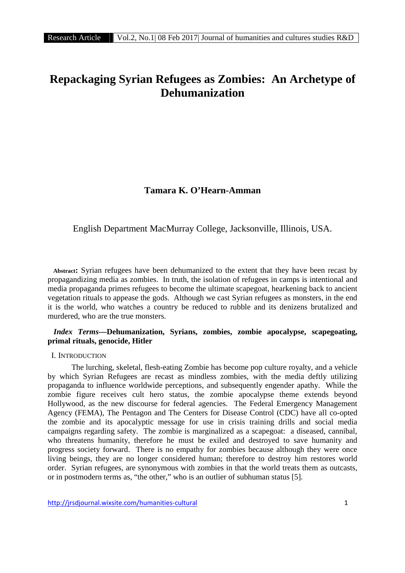# **Repackaging Syrian Refugees as Zombies: An Archetype of Dehumanization**

## **Tamara K. O'Hearn-Amman**

#### English Department MacMurray College, Jacksonville, Illinois, USA.

**Abstract:** Syrian refugees have been dehumanized to the extent that they have been recast by propagandizing media as zombies. In truth, the isolation of refugees in camps is intentional and media propaganda primes refugees to become the ultimate scapegoat, hearkening back to ancient vegetation rituals to appease the gods. Although we cast Syrian refugees as monsters, in the end it is the world, who watches a country be reduced to rubble and its denizens brutalized and murdered, who are the true monsters.

## *Index Terms***—Dehumanization, Syrians, zombies, zombie apocalypse, scapegoating, primal rituals, genocide, Hitler**

#### I. INTRODUCTION

The lurching, skeletal, flesh-eating Zombie has become pop culture royalty, and a vehicle by which Syrian Refugees are recast as mindless zombies, with the media deftly utilizing propaganda to influence worldwide perceptions, and subsequently engender apathy. While the zombie figure receives cult hero status, the zombie apocalypse theme extends beyond Hollywood, as the new discourse for federal agencies. The Federal Emergency Management Agency (FEMA), The Pentagon and The Centers for Disease Control (CDC) have all co-opted the zombie and its apocalyptic message for use in crisis training drills and social media campaigns regarding safety. The zombie is marginalized as a scapegoat: a diseased, cannibal, who threatens humanity, therefore he must be exiled and destroyed to save humanity and progress society forward. There is no empathy for zombies because although they were once living beings, they are no longer considered human; therefore to destroy him restores world order. Syrian refugees, are synonymous with zombies in that the world treats them as outcasts, or in postmodern terms as, "the other," who is an outlier of subhuman status [5].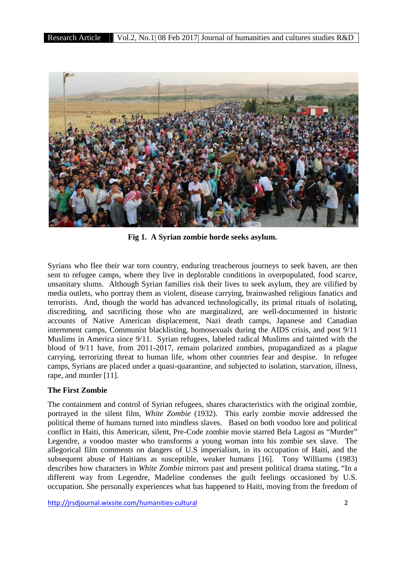

**Fig 1. A Syrian zombie horde seeks asylum.**

Syrians who flee their war torn country, enduring treacherous journeys to seek haven, are then sent to refugee camps, where they live in deplorable conditions in overpopulated, food scarce, unsanitary slums. Although Syrian families risk their lives to seek asylum, they are vilified by media outlets, who portray them as violent, disease carrying, brainwashed religious fanatics and terrorists. And, though the world has advanced technologically, its primal rituals of isolating, discrediting, and sacrificing those who are marginalized, are well-documented in historic accounts of Native American displacement, Nazi death camps, Japanese and Canadian internment camps, Communist blacklisting, homosexuals during the AIDS crisis, and post 9/11 Muslims in America since 9/11. Syrian refugees, labeled radical Muslims and tainted with the blood of 9/11 have, from 2011-2017, remain polarized zombies, propagandized as a plague carrying, terrorizing threat to human life, whom other countries fear and despise. In refugee camps, Syrians are placed under a quasi-quarantine, and subjected to isolation, starvation, illness, rape, and murder [11].

#### **The First Zombie**

The containment and control of Syrian refugees, shares characteristics with the original zombie, portrayed in the silent film, *White Zombie* (1932). This early zombie movie addressed the political theme of humans turned into mindless slaves. Based on both voodoo lore and political conflict in Haiti, this American, silent, Pre-Code zombie movie starred Bela Lagosi as "Murder" Legendre, a voodoo master who transforms a young woman into his zombie sex slave. The allegorical film comments on dangers of U.S imperialism, in its occupation of Haiti, and the subsequent abuse of Haitians as susceptible, weaker humans [16]. Tony Williams (1983) describes how characters in *White Zombie* mirrors past and present political drama stating, "In a different way from Legendre, Madeline condenses the guilt feelings occasioned by U.S. occupation. She personally experiences what has happened to Haiti, moving from the freedom of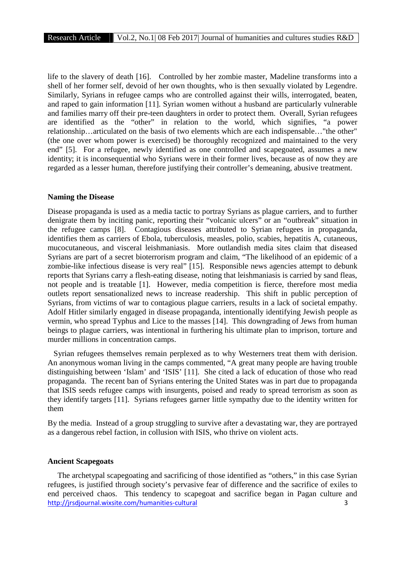life to the slavery of death [16]. Controlled by her zombie master, Madeline transforms into a shell of her former self, devoid of her own thoughts, who is then sexually violated by Legendre. Similarly, Syrians in refugee camps who are controlled against their wills, interrogated, beaten, and raped to gain information [11]. Syrian women without a husband are particularly vulnerable and families marry off their pre-teen daughters in order to protect them. Overall, Syrian refugees are identified as the "other" in relation to the world, which signifies, "a power relationship…articulated on the basis of two elements which are each indispensable…"the other" (the one over whom power is exercised) be thoroughly recognized and maintained to the very end" [5]. For a refugee, newly identified as one controlled and scapegoated, assumes a new identity; it is inconsequential who Syrians were in their former lives, because as of now they are regarded as a lesser human, therefore justifying their controller's demeaning, abusive treatment.

#### **Naming the Disease**

Disease propaganda is used as a media tactic to portray Syrians as plague carriers, and to further denigrate them by inciting panic, reporting their "volcanic ulcers" or an "outbreak" situation in the refugee camps [8]. Contagious diseases attributed to Syrian refugees in propaganda, identifies them as carriers of Ebola, tuberculosis, measles, polio, scabies, hepatitis A, cutaneous, mucocutaneous, and visceral leishmaniasis. More outlandish media sites claim that diseased Syrians are part of a secret bioterrorism program and claim, "The likelihood of an epidemic of a zombie-like infectious disease is very real" [15]. Responsible news agencies attempt to debunk reports that Syrians carry a flesh-eating disease, noting that leishmaniasis is carried by sand fleas, not people and is treatable [1]. However, media competition is fierce, therefore most media outlets report sensationalized news to increase readership. This shift in public perception of Syrians, from victims of war to contagious plague carriers, results in a lack of societal empathy. Adolf Hitler similarly engaged in disease propaganda, intentionally identifying Jewish people as vermin, who spread Typhus and Lice to the masses [14]. This downgrading of Jews from human beings to plague carriers, was intentional in furthering his ultimate plan to imprison, torture and murder millions in concentration camps.

Syrian refugees themselves remain perplexed as to why Westerners treat them with derision. An anonymous woman living in the camps commented, "A great many people are having trouble distinguishing between 'Islam' and 'ISIS' [11]. She cited a lack of education of those who read propaganda. The recent ban of Syrians entering the United States was in part due to propaganda that ISIS seeds refugee camps with insurgents, poised and ready to spread terrorism as soon as they identify targets [11]. Syrians refugees garner little sympathy due to the identity written for them

By the media. Instead of a group struggling to survive after a devastating war, they are portrayed as a dangerous rebel faction, in collusion with ISIS, who thrive on violent acts.

#### **Ancient Scapegoats**

http://jrsdjournal.wixsite.com/humanities-cultural 3 The archetypal scapegoating and sacrificing of those identified as "others," in this case Syrian refugees, is justified through society's pervasive fear of difference and the sacrifice of exiles to end perceived chaos. This tendency to scapegoat and sacrifice began in Pagan culture and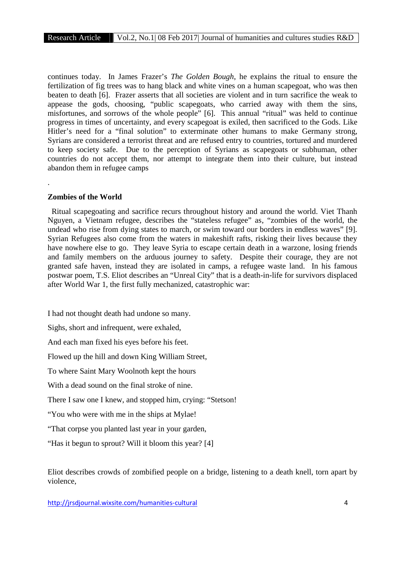continues today. In James Frazer's *The Golden Bough*, he explains the ritual to ensure the fertilization of fig trees was to hang black and white vines on a human scapegoat, who was then beaten to death [6]. Frazer asserts that all societies are violent and in turn sacrifice the weak to appease the gods, choosing, "public scapegoats, who carried away with them the sins, misfortunes, and sorrows of the whole people" [6]. This annual "ritual" was held to continue progress in times of uncertainty, and every scapegoat is exiled, then sacrificed to the Gods. Like Hitler's need for a "final solution" to exterminate other humans to make Germany strong, Syrians are considered a terrorist threat and are refused entry to countries, tortured and murdered to keep society safe. Due to the perception of Syrians as scapegoats or subhuman, other countries do not accept them, nor attempt to integrate them into their culture, but instead abandon them in refugee camps

#### **Zombies of the World**

.

Ritual scapegoating and sacrifice recurs throughout history and around the world. Viet Thanh Nguyen, a Vietnam refugee, describes the "stateless refugee" as, "zombies of the world, the undead who rise from dying states to march, or swim toward our borders in endless waves" [9]. Syrian Refugees also come from the waters in makeshift rafts, risking their lives because they have nowhere else to go. They leave Syria to escape certain death in a warzone, losing friends and family members on the arduous journey to safety. Despite their courage, they are not granted safe haven, instead they are isolated in camps, a refugee waste land. In his famous postwar poem, T.S. Eliot describes an "Unreal City" that is a death-in-life for survivors displaced after World War 1, the first fully mechanized, catastrophic war:

I had not thought death had undone so many.

Sighs, short and infrequent, were exhaled,

And each man fixed his eyes before his feet.

Flowed up the hill and down King William Street,

To where Saint Mary Woolnoth kept the hours

With a dead sound on the final stroke of nine.

There I saw one I knew, and stopped him, crying: "Stetson!

"You who were with me in the ships at Mylae!

"That corpse you planted last year in your garden,

"Has it begun to sprout? Will it bloom this year? [4]

Eliot describes crowds of zombified people on a bridge, listening to a death knell, torn apart by violence,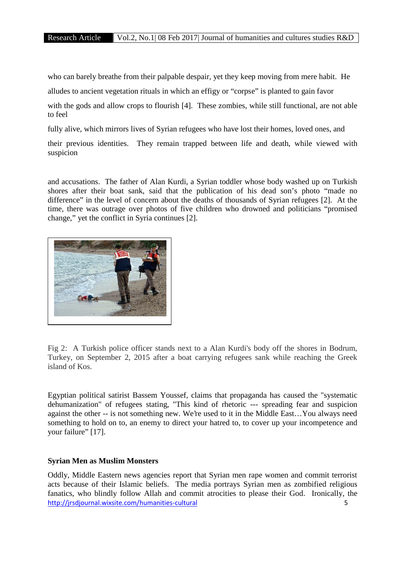who can barely breathe from their palpable despair, yet they keep moving from mere habit. He

alludes to ancient vegetation rituals in which an effigy or "corpse" is planted to gain favor

with the gods and allow crops to flourish [4]. These zombies, while still functional, are not able to feel

fully alive, which mirrors lives of Syrian refugees who have lost their homes, loved ones, and

their previous identities. They remain trapped between life and death, while viewed with suspicion

and accusations. The father of Alan Kurdi, a Syrian toddler whose body washed up on Turkish shores after their boat sank, said that the publication of his dead son's photo "made no difference" in the level of concern about the deaths of thousands of Syrian refugees [2]. At the time, there was outrage over photos of five children who drowned and politicians "promised change," yet the conflict in Syria continues [2].



Fig 2: A Turkish police officer stands next to a Alan Kurdi's body off the shores in Bodrum, Turkey, on September 2, 2015 after a boat carrying refugees sank while reaching the Greek island of Kos.

Egyptian political satirist Bassem Youssef, claims that propaganda has caused the "systematic dehumanization" of refugees stating, "This kind of rhetoric --- spreading fear and suspicion against the other -- is not something new. We're used to it in the Middle East…You always need something to hold on to, an enemy to direct your hatred to, to cover up your incompetence and your failure" [17].

#### **Syrian Men as Muslim Monsters**

http://jrsdjournal.wixsite.com/humanities-cultural 5 Oddly, Middle Eastern news agencies report that Syrian men rape women and commit terrorist acts because of their Islamic beliefs. The media portrays Syrian men as zombified religious fanatics, who blindly follow Allah and commit atrocities to please their God. Ironically, the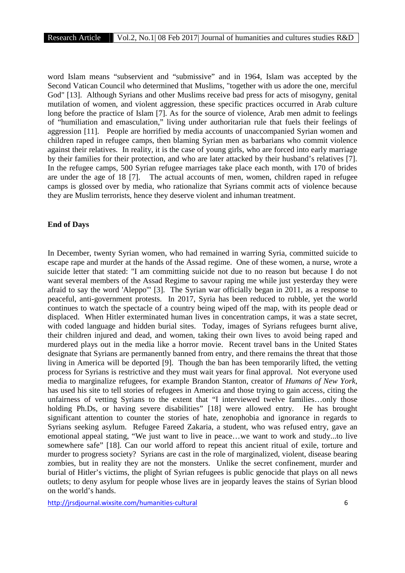word Islam means "subservient and "submissive" and in 1964, Islam was accepted by the Second Vatican Council who determined that Muslims, "together with us adore the one, merciful God" [13]. Although Syrians and other Muslims receive bad press for acts of misogyny, genital mutilation of women, and violent aggression, these specific practices occurred in Arab culture long before the practice of Islam [7]. As for the source of violence, Arab men admit to feelings of "humiliation and emasculation," living under authoritarian rule that fuels their feelings of aggression [11]. People are horrified by media accounts of unaccompanied Syrian women and children raped in refugee camps, then blaming Syrian men as barbarians who commit violence against their relatives. In reality, it is the case of young girls, who are forced into early marriage by their families for their protection, and who are later attacked by their husband's relatives [7]. In the refugee camps, 500 Syrian refugee marriages take place each month, with 170 of brides are under the age of 18 [7]. The actual accounts of men, women, children raped in refugee camps is glossed over by media, who rationalize that Syrians commit acts of violence because they are Muslim terrorists, hence they deserve violent and inhuman treatment.

#### **End of Days**

In December, twenty Syrian women, who had remained in warring Syria, committed suicide to escape rape and murder at the hands of the Assad regime. One of these women, a nurse, wrote a suicide letter that stated: "I am committing suicide not due to no reason but because I do not want several members of the Assad Regime to savour raping me while just yesterday they were afraid to say the word 'Aleppo'" [3]. The Syrian war officially began in 2011, as a response to peaceful, anti-government protests. In 2017, Syria has been reduced to rubble, yet the world continues to watch the spectacle of a country being wiped off the map, with its people dead or displaced. When Hitler exterminated human lives in concentration camps, it was a state secret, with coded language and hidden burial sites. Today, images of Syrians refugees burnt alive, their children injured and dead, and women, taking their own lives to avoid being raped and murdered plays out in the media like a horror movie. Recent travel bans in the United States designate that Syrians are permanently banned from entry, and there remains the threat that those living in America will be deported [9]. Though the ban has been temporarily lifted, the vetting process for Syrians is restrictive and they must wait years for final approval. Not everyone used media to marginalize refugees, for example Brandon Stanton, creator of *Humans of New York*, has used his site to tell stories of refugees in America and those trying to gain access, citing the unfairness of vetting Syrians to the extent that "I interviewed twelve families…only those holding Ph.Ds, or having severe disabilities" [18] were allowed entry. He has brought significant attention to counter the stories of hate, zenophobia and ignorance in regards to Syrians seeking asylum. Refugee Fareed Zakaria, a student, who was refused entry, gave an emotional appeal stating, "We just want to live in peace…we want to work and study...to live somewhere safe" [18]. Can our world afford to repeat this ancient ritual of exile, torture and murder to progress society? Syrians are cast in the role of marginalized, violent, disease bearing zombies, but in reality they are not the monsters. Unlike the secret confinement, murder and burial of Hitler's victims, the plight of Syrian refugees is public genocide that plays on all news outlets; to deny asylum for people whose lives are in jeopardy leaves the stains of Syrian blood on the world's hands.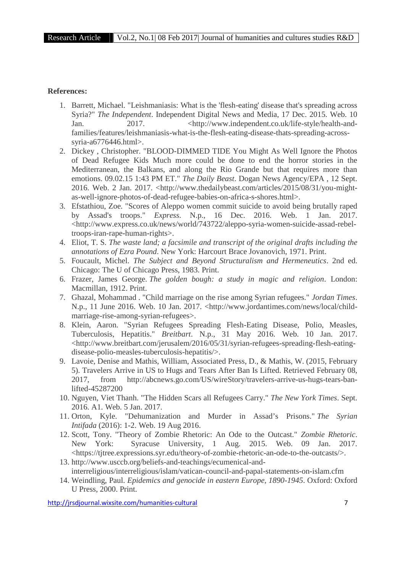## **References:**

- 1. Barrett, Michael. "Leishmaniasis: What is the 'flesh-eating' disease that's spreading across Syria?" *The Independent*. Independent Digital News and Media, 17 Dec. 2015. Web. 10 Jan. 2017.  $\langle \text{http://www.independent.co.uk/life-style/health-and-}$ families/features/leishmaniasis-what-is-the-flesh-eating-disease-thats-spreading-across syria-a6776446.html>.
- 2. Dickey , Christopher. "BLOOD-DIMMED TIDE You Might As Well Ignore the Photos of Dead Refugee Kids Much more could be done to end the horror stories in the Mediterranean, the Balkans, and along the Rio Grande but that requires more than emotions. 09.02.15 1:43 PM ET." *The Daily Beast*. Dogan News Agency/EPA , 12 Sept. 2016. Web. 2 Jan. 2017. <http://www.thedailybeast.com/articles/2015/08/31/you-might as-well-ignore-photos-of-dead-refugee-babies-on-africa-s-shores.html>.
- 3. Efstathiou, Zoe. "Scores of Aleppo women commit suicide to avoid being brutally raped by Assad's troops." *Express*. N.p., 16 Dec. 2016. Web. 1 Jan. 2017. <http://www.express.co.uk/news/world/743722/aleppo-syria-women-suicide-assad-rebeltroops-iran-rape-human-rights>.
- 4. Eliot, T. S. *The waste land; a facsimile and transcript of the original drafts including the annotations of Ezra Pound*. New York: Harcourt Brace Jovanovich, 1971. Print.
- 5. Foucault, Michel. *The Subject and Beyond Structuralism and Hermeneutics*. 2nd ed. Chicago: The U of Chicago Press, 1983. Print.
- 6. Frazer, James George. *The golden bough: a study in magic and religion*. London: Macmillan, 1912. Print.
- 7. Ghazal, Mohammad . "Child marriage on the rise among Syrian refugees." *Jordan Times*. N.p., 11 June 2016. Web. 10 Jan. 2017. <http://www.jordantimes.com/news/local/child marriage-rise-among-syrian-refugees>.
- 8. Klein, Aaron. "Syrian Refugees Spreading Flesh-Eating Disease, Polio, Measles, Tuberculosis, Hepatitis." *Breitbart*. N.p., 31 May 2016. Web. 10 Jan. 2017. <http://www.breitbart.com/jerusalem/2016/05/31/syrian-refugees-spreading-flesh-eating disease-polio-measles-tuberculosis-hepatitis/>.
- 9. Lavoie, Denise and Mathis, William, Associated Press, D., & Mathis, W. (2015, February 5). Travelers Arrive in US to Hugs and Tears After Ban Is Lifted. Retrieved February 08, 2017, from http://abcnews.go.com/US/wireStory/travelers-arrive-us-hugs-tears-banlifted-45287200
- 10. Nguyen, Viet Thanh. "The Hidden Scars all Refugees Carry." *The New York Times*. Sept. 2016. A1. Web. 5 Jan. 2017.
- 11. Orton, Kyle. "Dehumanization and Murder in Assad's Prisons." *The Syrian Intifada* (2016): 1-2. Web. 19 Aug 2016.
- 12. Scott, Tony. "Theory of Zombie Rhetoric: An Ode to the Outcast." *Zombie Rhetoric*. New York: Syracuse University, 1 Aug. 2015. Web. 09 Jan. 2017. <https://tjtree.expressions.syr.edu/theory-of-zombie-rhetoric-an-ode-to-the-outcasts/>.
- 13. http://www.usccb.org/beliefs-and-teachings/ecumenical-andinterreligious/interreligious/islam/vatican-council-and-papal-statements-on-islam.cfm
- 14. Weindling, Paul. *Epidemics and genocide in eastern Europe, 1890-1945*. Oxford: Oxford U Press, 2000. Print.